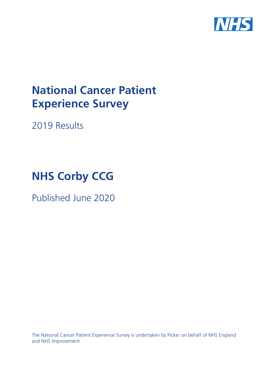

# **National Cancer Patient Experience Survey**

2019 Results

# **NHS Corby CCG**

Published June 2020

The National Cancer Patient Experience Survey is undertaken by Picker on behalf of NHS England and NHS Improvement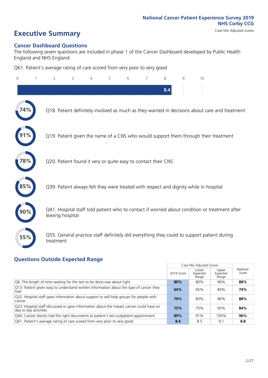# **Executive Summary** Case Mix Adjusted scores

# **Cancer Dashboard Questions**

The following seven questions are included in phase 1 of the Cancer Dashboard developed by Public Health England and NHS England:

Q61. Patient's average rating of care scored from very poor to very good

| $\Omega$ | $\overline{2}$                                                | 3 | 4 | 5 | 6 | 8   | 9 | 10                                                                                            |  |
|----------|---------------------------------------------------------------|---|---|---|---|-----|---|-----------------------------------------------------------------------------------------------|--|
|          |                                                               |   |   |   |   | 8.4 |   |                                                                                               |  |
| 74%      |                                                               |   |   |   |   |     |   | Q18. Patient definitely involved as much as they wanted in decisions about care and treatment |  |
|          |                                                               |   |   |   |   |     |   | Q19. Patient given the name of a CNS who would support them through their treatment           |  |
| 78%      | Q20. Patient found it very or quite easy to contact their CNS |   |   |   |   |     |   |                                                                                               |  |
|          |                                                               |   |   |   |   |     |   | Q39. Patient always felt they were treated with respect and dignity while in hospital         |  |
|          | leaving hospital                                              |   |   |   |   |     |   | Q41. Hospital staff told patient who to contact if worried about condition or treatment after |  |
| 55%      | treatment                                                     |   |   |   |   |     |   | Q55. General practice staff definitely did everything they could to support patient during    |  |

# **Questions Outside Expected Range**

|                                                                                                                  |            | Case Mix Adjusted Scores   |                            |                   |
|------------------------------------------------------------------------------------------------------------------|------------|----------------------------|----------------------------|-------------------|
|                                                                                                                  | 2019 Score | Lower<br>Expected<br>Range | Upper<br>Expected<br>Range | National<br>Score |
| Q6. The length of time waiting for the test to be done was about right                                           | 80%        | 80%                        | 96%                        | 88%               |
| Q13. Patient given easy to understand written information about the type of cancer they<br>had                   | 64%        | 65%                        | 84%                        | 74%               |
| Q22. Hospital staff gave information about support or self-help groups for people with<br>cancer                 | 79%        | 80%                        | 96%                        | 88%               |
| Q23. Hospital staff discussed or gave information about the impact cancer could have on<br>day to day activities | 75%        | 75%                        | 93%                        | 84%               |
| Q44. Cancer doctor had the right documents at patient's last outpatient appointment                              | 89%        | 91%                        | 100%                       | 96%               |
| Q61. Patient's average rating of care scored from very poor to very good                                         | 8.4        | 8.5                        | 9.1                        | 8.8               |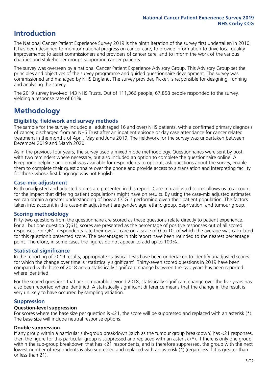# **Introduction**

The National Cancer Patient Experience Survey 2019 is the ninth iteration of the survey first undertaken in 2010. It has been designed to monitor national progress on cancer care; to provide information to drive local quality improvements; to assist commissioners and providers of cancer care; and to inform the work of the various charities and stakeholder groups supporting cancer patients.

The survey was overseen by a national Cancer Patient Experience Advisory Group. This Advisory Group set the principles and objectives of the survey programme and guided questionnaire development. The survey was commissioned and managed by NHS England. The survey provider, Picker, is responsible for designing, running and analysing the survey.

The 2019 survey involved 143 NHS Trusts. Out of 111,366 people, 67,858 people responded to the survey, yielding a response rate of 61%.

# **Methodology**

# **Eligibility, eldwork and survey methods**

The sample for the survey included all adult (aged 16 and over) NHS patients, with a confirmed primary diagnosis of cancer, discharged from an NHS Trust after an inpatient episode or day case attendance for cancer related treatment in the months of April, May and June 2019. The fieldwork for the survey was undertaken between December 2019 and March 2020.

As in the previous four years, the survey used a mixed mode methodology. Questionnaires were sent by post, with two reminders where necessary, but also included an option to complete the questionnaire online. A Freephone helpline and email was available for respondents to opt out, ask questions about the survey, enable them to complete their questionnaire over the phone and provide access to a translation and interpreting facility for those whose first language was not English.

# **Case-mix adjustment**

Both unadjusted and adjusted scores are presented in this report. Case-mix adjusted scores allows us to account for the impact that differing patient populations might have on results. By using the case-mix adjusted estimates we can obtain a greater understanding of how a CCG is performing given their patient population. The factors taken into account in this case-mix adjustment are gender, age, ethnic group, deprivation, and tumour group.

# **Scoring methodology**

Fifty-two questions from the questionnaire are scored as these questions relate directly to patient experience. For all but one question (Q61), scores are presented as the percentage of positive responses out of all scored responses. For Q61, respondents rate their overall care on a scale of 0 to 10, of which the average was calculated for this question's presented score. The percentages in this report have been rounded to the nearest percentage point. Therefore, in some cases the figures do not appear to add up to 100%.

## **Statistical significance**

In the reporting of 2019 results, appropriate statistical tests have been undertaken to identify unadjusted scores for which the change over time is 'statistically significant'. Thirty-seven scored questions in 2019 have been compared with those of 2018 and a statistically significant change between the two years has been reported where identified.

For the scored questions that are comparable beyond 2018, statistically significant change over the five years has also been reported where identified. A statistically significant difference means that the change in the result is very unlikely to have occurred by sampling variation.

## **Suppression**

### **Question-level suppression**

For scores where the base size per question is  $<$ 21, the score will be suppressed and replaced with an asterisk (\*). The base size will include neutral response options.

## **Double suppression**

If any group within a particular sub-group breakdown (such as the tumour group breakdown) has <21 responses, then the figure for this particular group is suppressed and replaced with an asterisk (\*). If there is only one group within the sub-group breakdown that has <21 respondents, and is therefore suppressed, the group with the next lowest number of respondents is also supressed and replaced with an asterisk (\*) (regardless if it is greater than or less than 21).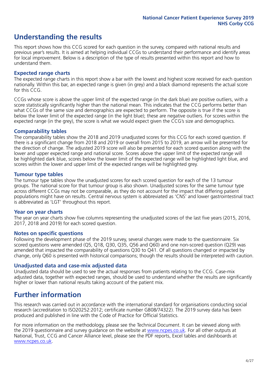# **Understanding the results**

This report shows how this CCG scored for each question in the survey, compared with national results and previous year's results. It is aimed at helping individual CCGs to understand their performance and identify areas for local improvement. Below is a description of the type of results presented within this report and how to understand them.

## **Expected range charts**

The expected range charts in this report show a bar with the lowest and highest score received for each question nationally. Within this bar, an expected range is given (in grey) and a black diamond represents the actual score for this CCG.

CCGs whose score is above the upper limit of the expected range (in the dark blue) are positive outliers, with a score statistically significantly higher than the national mean. This indicates that the CCG performs better than what CCGs of the same size and demographics are expected to perform. The opposite is true if the score is below the lower limit of the expected range (in the light blue); these are negative outliers. For scores within the expected range (in the grey), the score is what we would expect given the CCG's size and demographics.

### **Comparability tables**

The comparability tables show the 2018 and 2019 unadjusted scores for this CCG for each scored question. If there is a significant change from 2018 and 2019 or overall from 2015 to 2019, an arrow will be presented for the direction of change. The adjusted 2019 score will also be presented for each scored question along with the lower and upper expected range and national score. Scores above the upper limit of the expected range will be highlighted dark blue, scores below the lower limit of the expected range will be highlighted light blue, and scores within the lower and upper limit of the expected ranges will be highlighted grey.

## **Tumour type tables**

The tumour type tables show the unadjusted scores for each scored question for each of the 13 tumour groups. The national score for that tumour group is also shown. Unadjusted scores for the same tumour type across different CCGs may not be comparable, as they do not account for the impact that differing patient populations might have on results. Central nervous system is abbreviated as 'CNS' and lower gastrointestinal tract is abbreviated as 'LGT' throughout this report.

## **Year on year charts**

The year on year charts show five columns representing the unadjusted scores of the last five years (2015, 2016, 2017, 2018 and 2019) for each scored question.

#### **Notes on specific questions**

Following the development phase of the 2019 survey, several changes were made to the questionnaire. Six scored questions were amended (Q5, Q18, Q30, Q35, Q56 and Q60) and one non-scored question (Q29) was amended that impacted the comparability of questions Q30 to Q41. Of all questions changed or impacted by change, only Q60 is presented with historical comparisons; though the results should be interpreted with caution.

## **Unadjusted data and case-mix adjusted data**

Unadjusted data should be used to see the actual responses from patients relating to the CCG. Case-mix adjusted data, together with expected ranges, should be used to understand whether the results are significantly higher or lower than national results taking account of the patient mix.

# **Further information**

This research was carried out in accordance with the international standard for organisations conducting social research (accreditation to ISO20252:2012; certificate number GB08/74322). The 2019 survey data has been produced and published in line with the Code of Practice for Official Statistics.

For more information on the methodology, please see the Technical Document. It can be viewed along with the 2019 questionnaire and survey quidance on the website at [www.ncpes.co.uk](https://www.ncpes.co.uk/supporting-documents). For all other outputs at National, Trust, CCG and Cancer Alliance level, please see the PDF reports, Excel tables and dashboards at [www.ncpes.co.uk.](https://www.ncpes.co.uk/current-results)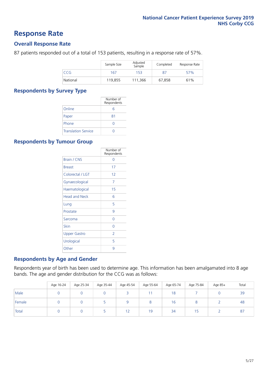# **Response Rate**

# **Overall Response Rate**

87 patients responded out of a total of 153 patients, resulting in a response rate of 57%.

|            | Sample Size | Adjusted<br>Sample | Completed | Response Rate |
|------------|-------------|--------------------|-----------|---------------|
| <b>CCG</b> | 167         | 153                | 87        | 57%           |
| National   | 119.855     | 111,366            | 67,858    | 61%           |

## **Respondents by Survey Type**

|                            | Number of<br>Respondents |
|----------------------------|--------------------------|
| Online                     | 6                        |
| Paper                      | 81                       |
| Phone                      |                          |
| <b>Translation Service</b> |                          |

# **Respondents by Tumour Group**

|                      | Number of<br>Respondents |
|----------------------|--------------------------|
| Brain / CNS          | Ω                        |
| <b>Breast</b>        | 17                       |
| Colorectal / LGT     | 12                       |
| Gynaecological       | 7                        |
| Haematological       | 15                       |
| <b>Head and Neck</b> | 6                        |
| Lung                 | 5                        |
| Prostate             | 9                        |
| Sarcoma              | Ω                        |
| Skin                 | Ω                        |
| <b>Upper Gastro</b>  | $\overline{2}$           |
| Urological           | 5                        |
| Other                | 9                        |

## **Respondents by Age and Gender**

Respondents year of birth has been used to determine age. This information has been amalgamated into 8 age bands. The age and gender distribution for the CCG was as follows:

|        | Age 16-24 | Age 25-34 | Age 35-44 | Age 45-54 | Age 55-64 | Age 65-74 | Age 75-84 | Age 85+ | Total |
|--------|-----------|-----------|-----------|-----------|-----------|-----------|-----------|---------|-------|
| Male   |           |           |           |           |           | 18        |           |         | 39    |
| Female |           |           |           |           | $\circ$   | 16        | 8         |         | 48    |
| Total  |           |           |           | 1 ว       | 19        | 34        |           |         | 87    |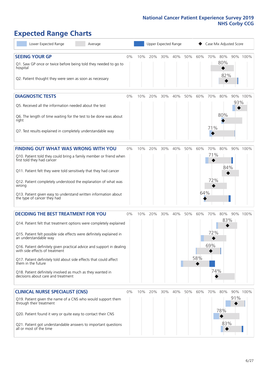# **Expected Range Charts**

| Lower Expected Range<br>Average                                                                                                                                                                                                                                                                                                                                                                                                                                                                                             | Upper Expected Range<br>Case Mix Adjusted Score |     |         |     |     |     |            |                          |                   |     |          |
|-----------------------------------------------------------------------------------------------------------------------------------------------------------------------------------------------------------------------------------------------------------------------------------------------------------------------------------------------------------------------------------------------------------------------------------------------------------------------------------------------------------------------------|-------------------------------------------------|-----|---------|-----|-----|-----|------------|--------------------------|-------------------|-----|----------|
| <b>SEEING YOUR GP</b><br>Q1. Saw GP once or twice before being told they needed to go to<br>hospital<br>Q2. Patient thought they were seen as soon as necessary                                                                                                                                                                                                                                                                                                                                                             | 0%                                              | 10% | 20%     | 30% | 40% | 50% | 60%        | 70%                      | 80%<br>80%<br>82% |     | 90% 100% |
| <b>DIAGNOSTIC TESTS</b><br>Q5. Received all the information needed about the test<br>Q6. The length of time waiting for the test to be done was about<br>right<br>Q7. Test results explained in completely understandable way                                                                                                                                                                                                                                                                                               | 0%                                              | 10% | 20%     | 30% | 40% | 50% | 60%        | 70%<br>71%               | 80%<br>80%        | 93% | 90% 100% |
| FINDING OUT WHAT WAS WRONG WITH YOU<br>Q10. Patient told they could bring a family member or friend when<br>first told they had cancer<br>Q11. Patient felt they were told sensitively that they had cancer<br>Q12. Patient completely understood the explanation of what was<br>wrong<br>Q13. Patient given easy to understand written information about<br>the type of cancer they had                                                                                                                                    | 0%                                              | 10% | 20%     | 30% | 40% | 50% | 60%<br>64% | 70%<br>71%<br>72%        | 80%<br>84%        |     | 90% 100% |
| <b>DECIDING THE BEST TREATMENT FOR YOU</b><br>Q14. Patient felt that treatment options were completely explained<br>Q15. Patient felt possible side effects were definitely explained in<br>an understandable way<br>Q16. Patient definitely given practical advice and support in dealing<br>with side effects of treatment<br>Q17. Patient definitely told about side effects that could affect<br>them in the future<br>Q18. Patient definitely involved as much as they wanted in<br>decisions about care and treatment | 0%                                              | 10% | 20%     | 30% | 40% | 50% | 60%<br>58% | 70%<br>72%<br>69%<br>74% | 80%<br>83%        |     | 90% 100% |
| <b>CLINICAL NURSE SPECIALIST (CNS)</b><br>Q19. Patient given the name of a CNS who would support them<br>through their treatment<br>Q20. Patient found it very or quite easy to contact their CNS<br>Q21. Patient got understandable answers to important questions<br>all or most of the time                                                                                                                                                                                                                              | 0%                                              |     | 10% 20% | 30% | 40% | 50% | 60%        | 70%                      | 80%<br>78%<br>83% | 91% | 90% 100% |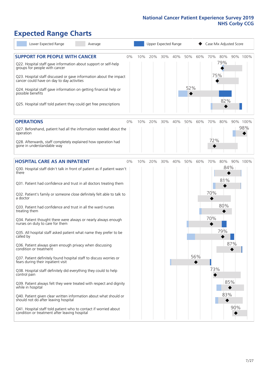# **Expected Range Charts**

| Lower Expected Range<br>Average                                                                                   |    | Upper Expected Range<br>Case Mix Adjusted Score |         |     |     |     |     |     |            |     |          |
|-------------------------------------------------------------------------------------------------------------------|----|-------------------------------------------------|---------|-----|-----|-----|-----|-----|------------|-----|----------|
| <b>SUPPORT FOR PEOPLE WITH CANCER</b>                                                                             | 0% | 10%                                             | 20%     | 30% | 40% | 50% | 60% | 70% | 80%<br>79% |     | 90% 100% |
| Q22. Hospital staff gave information about support or self-help<br>groups for people with cancer                  |    |                                                 |         |     |     |     |     |     |            |     |          |
| Q23. Hospital staff discussed or gave information about the impact<br>cancer could have on day to day activities  |    |                                                 |         |     |     |     |     | 75% |            |     |          |
| Q24. Hospital staff gave information on getting financial help or<br>possible benefits                            |    |                                                 |         |     |     | 52% |     |     |            |     |          |
| Q25. Hospital staff told patient they could get free prescriptions                                                |    |                                                 |         |     |     |     |     |     | 82%        |     |          |
| <b>OPERATIONS</b>                                                                                                 | 0% | 10%                                             | 20%     | 30% | 40% | 50% | 60% | 70% | 80%        |     | 90% 100% |
| Q27. Beforehand, patient had all the information needed about the<br>operation                                    |    |                                                 |         |     |     |     |     |     |            |     | 98%      |
| Q28. Afterwards, staff completely explained how operation had<br>gone in understandable way                       |    |                                                 |         |     |     |     |     | 72% |            |     |          |
| <b>HOSPITAL CARE AS AN INPATIENT</b>                                                                              | 0% |                                                 | 10% 20% | 30% | 40% | 50% | 60% | 70% | 80%        |     | 90% 100% |
| Q30. Hospital staff didn't talk in front of patient as if patient wasn't<br>there                                 |    |                                                 |         |     |     |     |     |     | 84%        |     |          |
| Q31. Patient had confidence and trust in all doctors treating them                                                |    |                                                 |         |     |     |     |     |     | 81%        |     |          |
| Q32. Patient's family or someone close definitely felt able to talk to<br>a doctor                                |    |                                                 |         |     |     |     |     | 70% |            |     |          |
| Q33. Patient had confidence and trust in all the ward nurses<br>treating them                                     |    |                                                 |         |     |     |     |     |     | 80%        |     |          |
| Q34. Patient thought there were always or nearly always enough<br>nurses on duty to care for them                 |    |                                                 |         |     |     |     |     | 70% |            |     |          |
| Q35. All hospital staff asked patient what name they prefer to be<br>called by                                    |    |                                                 |         |     |     |     |     |     | 79%        |     |          |
| Q36. Patient always given enough privacy when discussing<br>condition or treatment                                |    |                                                 |         |     |     |     |     |     |            | 87% |          |
| Q37. Patient definitely found hospital staff to discuss worries or<br>fears during their inpatient visit          |    |                                                 |         |     |     |     | 56% |     |            |     |          |
| Q38. Hospital staff definitely did everything they could to help<br>control pain                                  |    |                                                 |         |     |     |     |     | 73% |            |     |          |
| Q39. Patient always felt they were treated with respect and dignity<br>while in hospital                          |    |                                                 |         |     |     |     |     |     | 85%        |     |          |
| Q40. Patient given clear written information about what should or<br>should not do after leaving hospital         |    |                                                 |         |     |     |     |     |     | 83%        |     |          |
| Q41. Hospital staff told patient who to contact if worried about<br>condition or treatment after leaving hospital |    |                                                 |         |     |     |     |     |     |            | 90% |          |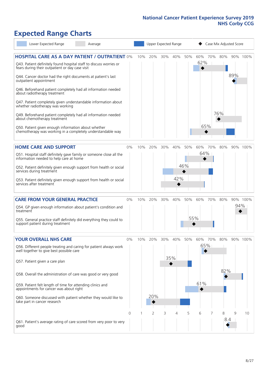# **Expected Range Charts**

| Lower Expected Range<br>Average                                                                                                                                                                                                                                                                                                                                                                                                                                                                                                                                                                                                                                                                        |    |             |                |     | Upper Expected Range |            |                   |     | Case Mix Adjusted Score |     |          |
|--------------------------------------------------------------------------------------------------------------------------------------------------------------------------------------------------------------------------------------------------------------------------------------------------------------------------------------------------------------------------------------------------------------------------------------------------------------------------------------------------------------------------------------------------------------------------------------------------------------------------------------------------------------------------------------------------------|----|-------------|----------------|-----|----------------------|------------|-------------------|-----|-------------------------|-----|----------|
| <b>HOSPITAL CARE AS A DAY PATIENT / OUTPATIENT 0%</b><br>Q43. Patient definitely found hospital staff to discuss worries or<br>fears during their outpatient or day case visit<br>Q44. Cancer doctor had the right documents at patient's last<br>outpatient appointment<br>Q46. Beforehand patient completely had all information needed<br>about radiotherapy treatment<br>Q47. Patient completely given understandable information about<br>whether radiotherapy was working<br>Q49. Beforehand patient completely had all information needed<br>about chemotherapy treatment<br>Q50. Patient given enough information about whether<br>chemotherapy was working in a completely understandable way |    | 10%         | 20%            | 30% | 40%                  | 50%        | 60%<br>62%<br>65% | 70% | 80%<br>76%              | 89% | 90% 100% |
| <b>HOME CARE AND SUPPORT</b><br>Q51. Hospital staff definitely gave family or someone close all the<br>information needed to help care at home<br>Q52. Patient definitely given enough support from health or social<br>services during treatment<br>Q53. Patient definitely given enough support from health or social<br>services after treatment                                                                                                                                                                                                                                                                                                                                                    | 0% | 10%         | 20%            | 30% | 40%<br>42%           | 50%<br>46% | 60%<br>64%        | 70% | 80%                     |     | 90% 100% |
| <b>CARE FROM YOUR GENERAL PRACTICE</b><br>Q54. GP given enough information about patient's condition and<br>treatment<br>Q55. General practice staff definitely did everything they could to<br>support patient during treatment                                                                                                                                                                                                                                                                                                                                                                                                                                                                       | 0% | 10%         | 20%            | 30% | 40%                  | 50%        | 60%<br>55%        | 70% | 80%                     | 94% | 90% 100% |
| <b>YOUR OVERALL NHS CARE</b><br>Q56. Different people treating and caring for patient always work<br>well together to give best possible care<br>Q57. Patient given a care plan<br>Q58. Overall the administration of care was good or very good<br>Q59. Patient felt length of time for attending clinics and<br>appointments for cancer was about right<br>Q60. Someone discussed with patient whether they would like to<br>take part in cancer research                                                                                                                                                                                                                                            | 0% | 10%         | 20%<br>20%     | 30% | 40%<br>35%           | 50%        | 60%<br>65%<br>61% | 70% | 80%<br>82%              |     | 90% 100% |
| Q61. Patient's average rating of care scored from very poor to very<br>good                                                                                                                                                                                                                                                                                                                                                                                                                                                                                                                                                                                                                            | 0  | $\mathbf 1$ | $\overline{2}$ | 3   | 4                    | 5          | 6                 | 7   | 8<br>8.4                | 9   | 10       |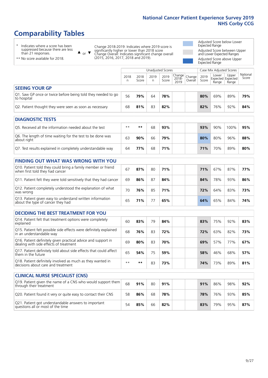# **Comparability Tables**

\* Indicates where a score has been suppressed because there are less than 21 responses.

\*\* No score available for 2018.

 $\triangle$  or  $\nabla$ 

Change 2018-2019: Indicates where 2019 score is significantly higher or lower than 2018 score Change Overall: Indicates significant change overall (2015, 2016, 2017, 2018 and 2019).

Adjusted Score below Lower Expected Range Adjusted Score between Upper and Lower Expected Ranges Adjusted Score above Upper

Expected Range

|                                                                             | Case Mix Adjusted Scores<br>Unadjusted Scores |               |           |               |                                                      |         |               |                                     |                |                   |
|-----------------------------------------------------------------------------|-----------------------------------------------|---------------|-----------|---------------|------------------------------------------------------|---------|---------------|-------------------------------------|----------------|-------------------|
|                                                                             | 2018<br>n                                     | 2018<br>Score | 2019<br>n | 2019<br>Score | $\sqrt{C}$ Change $ $ Change $ $<br>$2018 -$<br>2019 | Overall | 2019<br>Score | Lower<br>Expected Expected<br>Range | Upper<br>Range | National<br>Score |
| <b>SEEING YOUR GP</b>                                                       |                                               |               |           |               |                                                      |         |               |                                     |                |                   |
| Q1. Saw GP once or twice before being told they needed to go<br>to hospital | 56                                            | 79%           | 64        | 78%           |                                                      |         | 80%           | 69%                                 | 89%            | 79%               |
| Q2. Patient thought they were seen as soon as necessary                     | 68                                            | 81%           | 83        | 82%           |                                                      |         | 82%           | 76%                                 | 92%            | 84%               |
| <b>DIAGNOSTIC TESTS</b>                                                     |                                               |               |           |               |                                                      |         |               |                                     |                |                   |

| Q5. Received all the information needed about the test                    | $***$ | **  | 68 | 93% |  | 93% | 90% | 100% | 95% |
|---------------------------------------------------------------------------|-------|-----|----|-----|--|-----|-----|------|-----|
| Q6. The length of time waiting for the test to be done was<br>about right | 63    | 90% | 66 | 79% |  | 80% | 80% | 96%  | 88% |
| Q7. Test results explained in completely understandable way               | 64    | 77% | 68 | 71% |  | 71% | 70% | 89%  | 80% |

| <b>FINDING OUT WHAT WAS WRONG WITH YOU</b>                                                      |    |     |    |     |     |     |     |     |
|-------------------------------------------------------------------------------------------------|----|-----|----|-----|-----|-----|-----|-----|
| Q10. Patient told they could bring a family member or friend<br>when first told they had cancer | 67 | 87% | 80 | 71% | 71% | 67% | 87% | 77% |
| Q11. Patient felt they were told sensitively that they had cancer                               | 69 | 86% | 87 | 84% | 84% | 78% | 93% | 86% |
| Q12. Patient completely understood the explanation of what<br>was wrong                         | 70 | 76% | 85 | 71% | 72% | 64% | 83% | 73% |
| Q13. Patient given easy to understand written information<br>about the type of cancer they had  | 65 | 71% |    | 65% | 64% | 65% | 84% | 74% |

| <b>DECIDING THE BEST TREATMENT FOR YOU</b>                                                           |      |       |    |     |     |     |     |     |
|------------------------------------------------------------------------------------------------------|------|-------|----|-----|-----|-----|-----|-----|
| Q14. Patient felt that treatment options were completely<br>explained                                | 60   | 83%   | 79 | 84% | 83% | 75% | 92% | 83% |
| Q15. Patient felt possible side effects were definitely explained<br>in an understandable way        | 68   | 76%   | 83 | 72% | 72% | 63% | 82% | 73% |
| Q16. Patient definitely given practical advice and support in dealing with side effects of treatment | 69   | 80%   | 83 | 70% | 69% | 57% | 77% | 67% |
| Q17. Patient definitely told about side effects that could affect<br>them in the future              | 65   | 54%   | 75 | 59% | 58% | 46% | 68% | 57% |
| Q18. Patient definitely involved as much as they wanted in<br>decisions about care and treatment     | $**$ | $* *$ | 83 | 73% | 74% | 73% | 89% | 81% |

| <b>CLINICAL NURSE SPECIALIST (CNS)</b>                                                    |    |     |    |     |     |     |     |     |
|-------------------------------------------------------------------------------------------|----|-----|----|-----|-----|-----|-----|-----|
| [Q19. Patient given the name of a CNS who would support them<br>through their treatment   | 68 | 91% | 80 | 91% | 91% | 86% | 98% | 92% |
| Q20. Patient found it very or quite easy to contact their CNS                             | 58 | 86% | 68 | 78% | 78% | 76% | 93% | 85% |
| Q21. Patient got understandable answers to important<br>questions all or most of the time | 54 | 85% | 66 | 82% | 83% | 79% | 95% | 87% |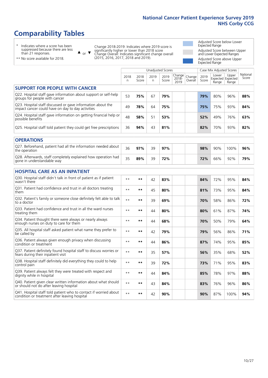# **Comparability Tables**

\* Indicates where a score has been suppressed because there are less than 21 responses.

\*\* No score available for 2018.

 $\triangle$  or  $\nabla$ 

Change 2018-2019: Indicates where 2019 score is significantly higher or lower than 2018 score Change Overall: Indicates significant change overall (2015, 2016, 2017, 2018 and 2019).

Adjusted Score below Lower Expected Range Adjusted Score between Upper and Lower Expected Ranges Adjusted Score above Upper Expected Range

|                                                                                                                   |              |               |            | <b>Unadjusted Scores</b> |                            |                   |               | Case Mix Adjusted Scores            |                |                   |
|-------------------------------------------------------------------------------------------------------------------|--------------|---------------|------------|--------------------------|----------------------------|-------------------|---------------|-------------------------------------|----------------|-------------------|
|                                                                                                                   | 2018<br>n    | 2018<br>Score | 2019<br>n. | 2019<br>Score            | Change<br>$2018 -$<br>2019 | Change<br>Overall | 2019<br>Score | Lower<br>Expected Expected<br>Range | Upper<br>Range | National<br>Score |
| <b>SUPPORT FOR PEOPLE WITH CANCER</b>                                                                             |              |               |            |                          |                            |                   |               |                                     |                |                   |
| Q22. Hospital staff gave information about support or self-help<br>groups for people with cancer                  | 53           | 75%           | 67         | 79%                      |                            |                   | 79%           | 80%                                 | 96%            | 88%               |
| Q23. Hospital staff discussed or gave information about the<br>impact cancer could have on day to day activities  | 49           | 78%           | 64         | 75%                      |                            |                   | 75%           | 75%                                 | 93%            | 84%               |
| Q24. Hospital staff gave information on getting financial help or<br>possible benefits                            | 48           | 58%           | 51         | 53%                      |                            |                   | 52%           | 49%                                 | 76%            | 63%               |
| Q25. Hospital staff told patient they could get free prescriptions                                                | 36           | 94%           | 43         | 81%                      |                            |                   | 82%           | 70%                                 | 93%            | 82%               |
| <b>OPERATIONS</b>                                                                                                 |              |               |            |                          |                            |                   |               |                                     |                |                   |
| Q27. Beforehand, patient had all the information needed about<br>the operation                                    | 36           | 97%           | 39         | 97%                      |                            |                   | 98%           | 90%                                 | 100%           | 96%               |
| Q28. Afterwards, staff completely explained how operation had<br>gone in understandable way                       | 35           | 89%           | 39         | 72%                      |                            |                   | 72%           | 66%                                 | 92%            | 79%               |
| <b>HOSPITAL CARE AS AN INPATIENT</b>                                                                              |              |               |            |                          |                            |                   |               |                                     |                |                   |
| Q30. Hospital staff didn't talk in front of patient as if patient<br>wasn't there                                 | $**$         | **            | 42         | 83%                      |                            |                   | 84%           | 72%                                 | 95%            | 84%               |
| Q31. Patient had confidence and trust in all doctors treating<br>them                                             | $* *$        | **            | 45         | 80%                      |                            |                   | 81%           | 73%                                 | 95%            | 84%               |
| Q32. Patient's family or someone close definitely felt able to talk<br>to a doctor                                | $**$         | $***$         | 39         | 69%                      |                            |                   | 70%           | 58%                                 | 86%            | 72%               |
| Q33. Patient had confidence and trust in all the ward nurses<br>treating them                                     | $\star\star$ | **            | 44         | 80%                      |                            |                   | 80%           | 61%                                 | 87%            | 74%               |
| Q34. Patient thought there were always or nearly always<br>enough nurses on duty to care for them                 | $* *$        | $***$         | 44         | 68%                      |                            |                   | 70%           | 50%                                 | 79%            | 64%               |
| Q35. All hospital staff asked patient what name they prefer to<br>be called by                                    | $**$         | **            | 42         | 79%                      |                            |                   | 79%           | 56%                                 | 86%            | 71%               |
| Q36. Patient always given enough privacy when discussing<br>condition or treatment                                | $* *$        | $***$         | 44         | 86%                      |                            |                   | 87%           | 74%                                 | 95%            | 85%               |
| Q37. Patient definitely found hospital staff to discuss worries or<br>fears during their inpatient visit          | $\star\star$ | **            | 35         | 57%                      |                            |                   | 56%           | 35%                                 | 68%            | 52%               |
| Q38. Hospital staff definitely did everything they could to help<br>control pain                                  | $* *$        | $***$         | 39         | 72%                      |                            |                   | 73%           | 71%                                 | 95%            | 83%               |
| Q39. Patient always felt they were treated with respect and<br>dignity while in hospital                          | $* *$        | **            | 44         | 84%                      |                            |                   | 85%           | 78%                                 | 97%            | 88%               |
| Q40. Patient given clear written information about what should<br>or should not do after leaving hospital         | $* *$        | $***$         | 43         | 84%                      |                            |                   | 83%           | 76%                                 | 96%            | 86%               |
| Q41. Hospital staff told patient who to contact if worried about<br>condition or treatment after leaving hospital | $**$         | **            | 42         | 90%                      |                            |                   | 90%           | 87%                                 | 100%           | 94%               |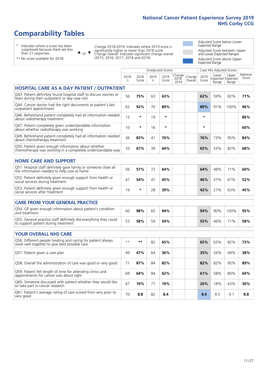# **Comparability Tables**

\* Indicates where a score has been suppressed because there are less than 21 responses.

\*\* No score available for 2018.

 $\triangle$  or  $\nabla$ 

Change 2018-2019: Indicates where 2019 score is significantly higher or lower than 2018 score Change Overall: Indicates significant change overall (2015, 2016, 2017, 2018 and 2019).

Adjusted Score below Lower Expected Range Adjusted Score between Upper and Lower Expected Ranges Adjusted Score above Upper Expected Range

|                                                                                                                       |              |               | <b>Unadjusted Scores</b> |               |                         |                   |               | Case Mix Adjusted Scores |                                     |                   |
|-----------------------------------------------------------------------------------------------------------------------|--------------|---------------|--------------------------|---------------|-------------------------|-------------------|---------------|--------------------------|-------------------------------------|-------------------|
|                                                                                                                       | 2018<br>n    | 2018<br>Score | 2019<br>$\mathsf{n}$     | 2019<br>Score | Change<br>2018-<br>2019 | Change<br>Overall | 2019<br>Score | Lower<br>Range           | Upper<br>Expected Expected<br>Range | National<br>Score |
| <b>HOSPITAL CARE AS A DAY PATIENT / OUTPATIENT</b>                                                                    |              |               |                          |               |                         |                   |               |                          |                                     |                   |
| Q43. Patient definitely found hospital staff to discuss worries or<br>fears during their outpatient or day case visit | 56           | 75%           | 63                       | 63%           |                         |                   | 62%           | 59%                      | 82%                                 | 71%               |
| Q44. Cancer doctor had the right documents at patient's last<br>outpatient appointment                                | 62           | 92%           | 70                       | 89%           |                         |                   | 89%           | 91%                      | 100%                                | 96%               |
| Q46. Beforehand patient completely had all information needed<br>about radiotherapy treatment                         | 13           | $\star$       | 19                       | $\star$       |                         |                   | $\star$       |                          |                                     | 86%               |
| Q47. Patient completely given understandable information<br>about whether radiotherapy was working                    | 10           | $\star$       | 16                       | $\star$       |                         |                   | $\star$       |                          |                                     | 60%               |
| Q49. Beforehand patient completely had all information needed<br>about chemotherapy treatment                         | 36           | 83%           | 41                       | 76%           |                         |                   | 76%           | 73%                      | 95%                                 | 84%               |
| Q50. Patient given enough information about whether<br>chemotherapy was working in a completely understandable way    | 33           | 67%           | 39                       | 64%           |                         |                   | 65%           | 53%                      | 82%                                 | 68%               |
| <b>HOME CARE AND SUPPORT</b>                                                                                          |              |               |                          |               |                         |                   |               |                          |                                     |                   |
| Q51. Hospital staff definitely gave family or someone close all<br>the information needed to help care at home        | 56           | 57%           | 72                       | 64%           |                         |                   | 64%           | 48%                      | 71%                                 | 60%               |
| Q52. Patient definitely given enough support from health or<br>social services during treatment                       | 41           | 54%           | 47                       | 45%           |                         |                   | 46%           | 37%                      | 67%                                 | 52%               |
| Q53. Patient definitely given enough support from health or<br>social services after treatment                        | 19           | $\star$       | 28                       | 39%           |                         |                   | 42%           | 27%                      | 63%                                 | 45%               |
| <b>CARE FROM YOUR GENERAL PRACTICE</b>                                                                                |              |               |                          |               |                         |                   |               |                          |                                     |                   |
| Q54. GP given enough information about patient's condition<br>and treatment                                           | 60           | 98%           | 65                       | 94%           |                         |                   | 94%           | 90%                      | 100%                                | 95%               |
| Q55. General practice staff definitely did everything they could<br>to support patient during treatment               | 53           | 58%           | 59                       | 54%           |                         |                   | 55%           | 46%                      | 71%                                 | 58%               |
| <b>YOUR OVERALL NHS CARE</b>                                                                                          |              |               |                          |               |                         |                   |               |                          |                                     |                   |
| Q56. Different people treating and caring for patient always                                                          |              |               |                          |               |                         |                   |               |                          |                                     |                   |
| work well together to give best possible care                                                                         | $\star\star$ | $***$         | 82                       | 65%           |                         |                   | 65%           | 63%                      | 82%                                 | 73%               |
| Q57. Patient given a care plan                                                                                        | 49           | 47%           | 64                       | 36%           |                         |                   | 35%           | 26%                      | 49%                                 | 38%               |
| Q58. Overall the administration of care was good or very good                                                         | 71           | 87%           | 84                       | 82%           |                         |                   | 82%           | 82%                      | 95%                                 | 89%               |
| Q59. Patient felt length of time for attending clinics and<br>appointments for cancer was about right                 | 69           | 64%           | 84                       | 62%           |                         |                   | 61%           | 58%                      | 80%                                 | 69%               |
| Q60. Someone discussed with patient whether they would like<br>to take part in cancer research                        | 67           | 19%           | 77                       | 19%           |                         |                   | 20%           | 18%                      | 43%                                 | 30%               |
| Q61. Patient's average rating of care scored from very poor to<br>very good                                           | 70           | 8.8           | 82                       | 8.4           |                         |                   | 8.4           | 8.5                      | 9.1                                 | 8.8               |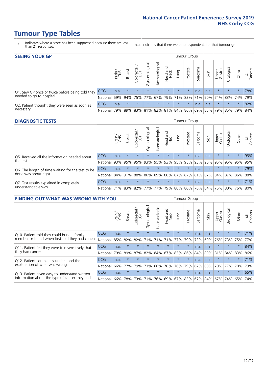- \* Indicates where a score has been suppressed because there are less than 21 responses.
- n.a. Indicates that there were no respondents for that tumour group.

| <b>SEEING YOUR GP</b>                           |            |              |               |            |                    |                |                             |         | <b>Tumour Group</b> |         |      |                 |                                         |         |                |
|-------------------------------------------------|------------|--------------|---------------|------------|--------------------|----------------|-----------------------------|---------|---------------------|---------|------|-----------------|-----------------------------------------|---------|----------------|
|                                                 |            | Brain<br>CNS | <b>Breast</b> | Colorectal | ᠊ᢛ<br>Gynaecologic | Haematological | Head and<br>Neck            | Lung    | Prostate            | Sarcoma | Skin | Upper<br>Gastro | Urologica                               | Other   | All<br>Cancers |
| Q1. Saw GP once or twice before being told they | <b>CCG</b> | n.a.         | $\star$       | $\star$    | $\star$            | $\star$        | $\star$                     | $\star$ | $\star$             | n.a.    | n.a. | $\star$         | $\star$                                 | $\star$ | 78%            |
| needed to go to hospital                        | National   | 59%          |               |            |                    |                | 94% 75% 77% 67% 79% 71% 82% |         |                     |         |      |                 | 71% 90% 74% 83% 74%                     |         | 79%            |
| Q2. Patient thought they were seen as soon as   | <b>CCG</b> | n.a.         | $\star$       | $\star$    | $\star$            | $\star$        | $\star$                     | $\star$ | $\star$             | n.a.    | n.a. | $\star$         | $\star$                                 | $\star$ | 82%            |
| necessary                                       | National   | 79%          |               | 89% 83%    |                    |                |                             |         |                     |         |      |                 | 81% 82% 81% 84% 86% 69% 85% 79% 85% 79% |         | 84%            |

#### **DIAGNOSTIC TESTS** Tumour Group

|                                                   |                                          | Brain<br>CNS | <b>Breast</b> | Colorectal<br>LGT | ᠊ᢛ<br>Gynaecologic | Haematological | Head and<br>Neck | Lung        | Prostate | Sarcoma | Skin | Upper<br>Gastro | rological                                   | Other   | All<br>Cancers |
|---------------------------------------------------|------------------------------------------|--------------|---------------|-------------------|--------------------|----------------|------------------|-------------|----------|---------|------|-----------------|---------------------------------------------|---------|----------------|
| Q5. Received all the information needed about     | <b>CCG</b>                               | n.a.         |               | $\star$           | $\star$            | $\star$        | $\star$          | $\star$     | $\star$  | n.a.    | n.a. | $\star$         | $\star$                                     | $\star$ | 93%            |
| the test                                          | National                                 | 93%          | 95%           | 95%               |                    | 93% 95%        |                  | 93% 95% 95% |          | 93%     | 96%  |                 | 95% 95%                                     | 95%     | 95%            |
| Q6. The length of time waiting for the test to be | <b>CCG</b>                               | n.a.         | $\star$       | $\star$           | $\star$            | $\star$        | $\star$          | $\star$     | $\star$  | n.a.    | n.a. | $\star$         | $\star$                                     | $\star$ | 79%            |
| done was about right                              | National                                 | 84%          | 91%           | 88%               |                    |                |                  |             |          |         |      |                 | 86% 89% 88% 87% 87% 81% 87% 84% 87% 86% 88% |         |                |
| Q7. Test results explained in completely          | <b>CCG</b>                               | n.a.         | $\star$       | $\star$           | $\star$            | $\star$        | $\star$          | $\star$     | $\star$  | n.a.    | n.a. | $\star$         | $\star$                                     | $\star$ | 71%            |
| understandable way                                | National 71% 83% 82% 77% 77% 79% 80% 80% |              |               |                   |                    |                |                  |             |          |         |      |                 | 78% 84% 75% 80% 76% 80%                     |         |                |

| <b>FINDING OUT WHAT WAS WRONG WITH YOU</b>        |            |       |               |                          |                |                |                        |                 | <b>Tumour Group</b> |         |         |                 |           |          |                |
|---------------------------------------------------|------------|-------|---------------|--------------------------|----------------|----------------|------------------------|-----------------|---------------------|---------|---------|-----------------|-----------|----------|----------------|
|                                                   |            | Brain | <b>Breast</b> | ╮<br>Colorectal /<br>LGT | Gynaecological | Haematological | ad and<br>Neck<br>Head | Lung            | Prostate            | Sarcoma | Skin    | Upper<br>Gastro | Jrologica | Other    | All<br>Cancers |
| Q10. Patient told they could bring a family       | <b>CCG</b> | n.a.  | $\star$       | $\star$                  | $\star$        | $\star$        | $\star$                | $\star$         | $\star$             | n.a.    | n.a.    | $\star$         | $\star$   | $\star$  | 71%            |
| member or friend when first told they had cancer  | National   | 85%   | 82%           | 82%                      |                | 71% 71%        | 71%                    | 77%             | 79%                 | 73%     | 69%     | 76%             | 73%       | 75%      | 77%            |
| Q11. Patient felt they were told sensitively that | CCG        | n.a.  | $\star$       | $\star$                  | $\star$        | $\star$        | $\star$                | $\star$         | $\star$             | n.a.    | n.a.    | $\star$         | $\star$   | $\star$  | 84%            |
| they had cancer                                   | National   | 79%   | 89%           | 87%                      | 82%            | 84%            | 87%                    | 83%             | 86%                 | 84%     | 89%     | 81%             | 84% 83%   |          | 86%            |
| Q12. Patient completely understood the            | <b>CCG</b> | n.a.  | $\star$       | $\star$                  | $\star$        |                | $\star$                | $\star$         | $\star$             | n.a.    | n.a.    | $\star$         | $\star$   | $\ast$   | 71%            |
| explanation of what was wrong                     | National   | 66%   | 77%           | 79%                      | 73%            | 60%            | 78%                    | 76%             | 79%                 | 67%     | 80%     | 70%             | 77%       | 70%      | 73%            |
| Q13. Patient given easy to understand written     | CCG        | n.a.  | $\star$       | $\star$                  | $\star$        | $\star$        | $\star$                | $\star$         | $\star$             | n.a.    | n.a.    | $\star$         | $\star$   | $^\star$ | 65%            |
| information about the type of cancer they had     | National   | 66%   | 78%           | 73%                      | 71%            | 76%            |                        | 69%   67%   83% |                     |         | 67% 84% | 67%             | 74%       | 65%      | 74%            |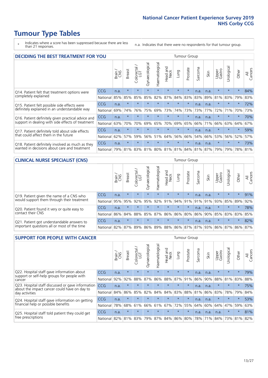- \* Indicates where a score has been suppressed because there are less than 21 responses.
- n.a. Indicates that there were no respondents for that tumour group.

| <b>DECIDING THE BEST TREATMENT FOR YOU</b>         |            |       |               |            |                |                |                                 |         | Tumour Group |              |      |                 |            |             |                |
|----------------------------------------------------|------------|-------|---------------|------------|----------------|----------------|---------------------------------|---------|--------------|--------------|------|-----------------|------------|-------------|----------------|
|                                                    |            | Brain | <b>Breast</b> | Colorectal | Gynaecological | Haematological | ead and<br>Neck<br>Head         | Lung    | Prostate     | arcoma<br>ιñ | Skin | Upper<br>Gastro | Jrological | Other       | All<br>Cancers |
| Q14. Patient felt that treatment options were      | CCG        | n.a.  | $\star$       | $\star$    | $\star$        | $\star$        | $\star$                         | $\star$ | $\star$      | n.a.         | n.a. | $\star$         | $\star$    | $\star$     | 84%            |
| completely explained                               | National   | 85%   | 85%           | 85%        | 85%            | 82%            | 87%                             | 84%     | 83%          | 83%          | 89%  | 81%             | 83%        | 79%         | 83%            |
| Q15. Patient felt possible side effects were       | CCG        | n.a.  | $\star$       |            |                |                | $\star$                         | $\star$ | $\star$      | n.a.         | n.a. | $\star$         | $\star$    | $\star$     | 72%            |
| definitely explained in an understandable way      | National   | 69%   | 74%           | 76%        | 75%            | 69%            | 73%                             | 74%     | 73%          | 73%          | 77%  | 72%             | 71%        | 70%         | 73%            |
| Q16. Patient definitely given practical advice and | CCG        | n.a.  | $\star$       |            |                |                |                                 |         | $\star$      | n.a.         | n.a. | $^\star$        |            | $\star$     | 70%            |
| support in dealing with side effects of treatment  | National   | 63%   | 70%           | 70%        | 69%            | 65%            | 70%                             | 69%     | 65%          | 66%          | 71%  | 66%             | 63%        | 64%         | 67%            |
| Q17. Patient definitely told about side effects    | CCG        | n.a.  | $\star$       |            |                |                | $\star$                         | $\star$ | $\star$      | n.a.         | n.a. | $\star$         |            | $\star$     | 59%            |
| that could affect them in the future               | National   | 62%   | 57%           | 59%        | 56%            | 51%            | 64%                             | 56%     | 66%          | 54%          | 66%  | 53%             | 56%        | 52%         | 57%            |
| Q18. Patient definitely involved as much as they   | CCG        | n.a.  | $\star$       |            | $\star$        | $\star$        | $\star$                         | $\star$ | $\star$      | n.a.         | n.a. | $\star$         | $\star$    | $\star$     | 73%            |
| wanted in decisions about care and treatment       | National l | 79%   | 81%           |            |                |                | 83% 81% 80% 81% 81% 84% 81% 87% |         |              |              |      | 79%             |            | 79% 78% 81% |                |

#### **CLINICAL NURSE SPECIALIST (CNS)** Tumour Group

|                                             |                                                  | Brain | <b>Breast</b>                   | Colorectal<br>LGT | $\overline{\sigma}$<br>aecologic<br>Š | ᢛ<br>Ű<br>Haematologi | Head and<br>Neck | Lung    | Prostate | Sarcoma | Skin          | Upper<br>Gastro     | σ<br>rologica | Other   | All<br>Cancers |
|---------------------------------------------|--------------------------------------------------|-------|---------------------------------|-------------------|---------------------------------------|-----------------------|------------------|---------|----------|---------|---------------|---------------------|---------------|---------|----------------|
| Q19. Patient given the name of a CNS who    | <b>CCG</b>                                       | n.a.  | $\star$                         | $\star$           | $\star$                               | $\star$               | $\star$          | $\star$ | $\star$  | n.a.    | n.a.          | $\star$             | $\star$       | $\star$ | 91%            |
| would support them through their treatment  | National                                         | 95%   | 95%                             | 92%               | 95%                                   | 92%                   | 91%              | 94% 91% |          |         | $ 91\% 91\% $ | 93%                 | 85%           | 89%     | 92%            |
| Q20. Patient found it very or quite easy to | CCG                                              | n.a.  | $\star$                         | $\star$           | $\star$                               | $\star$               | $\star$          | $\star$ | $\star$  | n.a.    | n.a.          |                     | $\star$       | $\star$ | 78%            |
| contact their CNS                           | National                                         |       | 86% 84% 88% 85% 87% 86% 86% 80% |                   |                                       |                       |                  |         |          |         |               | 86% 90% 85% 83% 83% |               |         | 85%            |
| Q21. Patient got understandable answers to  | CCG                                              | n.a.  | $\star$                         | $\star$           | $\star$                               | $\star$               | $\star$          | $\star$ | $\star$  | n.a.    | n.a.          | $\star$             | $\star$       | $\ast$  | 82%            |
| important questions all or most of the time | National 82% 87% 89% 86% 89% 88% 86% 87% 87% 93% |       |                                 |                   |                                       |                       |                  |         |          |         |               | 86% 87%             |               | 86%     | 87%            |

| <b>SUPPORT FOR PEOPLE WITH CANCER</b>                                                             |            |       |               |            |                |                |                         |             | <b>Tumour Group</b> |         |      |                 |            |          |                |
|---------------------------------------------------------------------------------------------------|------------|-------|---------------|------------|----------------|----------------|-------------------------|-------------|---------------------|---------|------|-----------------|------------|----------|----------------|
|                                                                                                   |            | Brain | <b>Breast</b> | Colorectal | Gynaecological | Haematological | ead and<br>Neck<br>Head | Lung        | Prostate            | Sarcoma | Skin | Upper<br>Gastro | Jrological | Other    | All<br>Cancers |
| Q22. Hospital staff gave information about<br>support or self-help groups for people with         | <b>CCG</b> | n.a.  | $\star$       | $\star$    | $\star$        | $\star$        | $\star$                 | $\star$     | $\star$             | n.a.    | n.a. | $\star$         | $\star$    | $\star$  | 79%            |
| cancer                                                                                            | National   | 92%   | 92%           | 88%        | 87%            | 86%            | 88%                     | 87%         | 91%                 | 86%     | 90%  | 88%             | 81%        | 83%      | 88%            |
| Q23. Hospital staff discussed or gave information<br>about the impact cancer could have on day to | CCG        | n.a.  | $\star$       | $\star$    | $\star$        | $\star$        | $\star$                 | $\star$     | $\star$             | n.a.    | n.a. | $\star$         | $\star$    | $\star$  | 75%            |
| day activities                                                                                    | National   | 84%   | 86%           | 85%        | 82%            | 84%            | 84%                     | 83%         | 88%                 | 81%     | 86%  | 83%             | 78%        | 79%      | 84%            |
| Q24. Hospital staff gave information on getting                                                   | CCG        | n.a.  | $\star$       | $\star$    | $\star$        |                | $\star$                 | $\star$     | $\star$             | n.a.    | n.a. | $\star$         | $\star$    | $\ast$   | 53%            |
| financial help or possible benefits                                                               | National   | 78%   | 68%           | 61%        | 66%            | 61%            | 67%                     | 72%         | 55%                 | 64%     | 60%  | 64%             | 47%        | 59%      | 63%            |
| Q25. Hospital staff told patient they could get                                                   | <b>CCG</b> | n.a.  | $\star$       | $\star$    | $\star$        |                | $\star$                 | $\star$     | $\star$             | n.a.    | n.a. | n.a.            | $\star$    | $^\star$ | 81%            |
| free prescriptions                                                                                | National   | 82%   | 81%           | 83%        | 79%            | 87%            |                         | 84% 86% 80% |                     | 78%     | 71%  | 84%             | 73%        | 81%      | 82%            |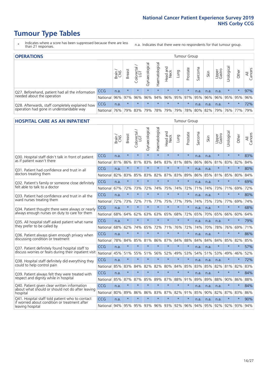- \* Indicates where a score has been suppressed because there are less than 21 responses.
- n.a. Indicates that there were no respondents for that tumour group.

| <b>OPERATIONS</b>                                |            |              |               |            |                |                |                         |         | Tumour Group |         |      |                 |                                                  |         |                |
|--------------------------------------------------|------------|--------------|---------------|------------|----------------|----------------|-------------------------|---------|--------------|---------|------|-----------------|--------------------------------------------------|---------|----------------|
|                                                  |            | Brain<br>CNS | <b>Breast</b> | Colorectal | Gynaecological | Haematological | Head and<br>Neck        | Fung    | Prostate     | Sarcoma | Skin | Upper<br>Gastro | Jrological                                       | Other   | All<br>Cancers |
| Q27. Beforehand, patient had all the information | <b>CCG</b> | n.a.         | $\star$       | $\star$    | $\star$        | $\star$        | $\star$                 | $\star$ | $\star$      | n.a.    | n.a. | n.a.            | $\star$                                          | $\star$ | 97%            |
| needed about the operation                       | National   | 96%          | 97%           | 96%        | 96%            |                | 94% 96% 95% 97% 95% 96% |         |              |         |      |                 | 96% 95% 95%                                      |         | 96%            |
| Q28. Afterwards, staff completely explained how  | CCG        | n.a.         | $\star$       | $\star$    | $\star$        | $\star$        | $\star$                 | $\star$ | $\star$      | n.a.    | n.a. | n.a.            | $\star$                                          | $\star$ | 72%            |
| operation had gone in understandable way         | National   | 76%          |               | 79% 83%    |                |                |                         |         |              |         |      |                 | 79%  78%  79%  79%  78%  80%  82%  79%  76%  77% |         | 79%            |

### **HOSPITAL CARE AS AN INPATIENT** Tumour Group

|                                                                                                  |            | Brain | Breast  | Colorectal /<br>LGT | Gynaecological | Haematological | Head and<br>Neck | Lung        | Prostate | Sarcoma | Skin | Upper<br>Gastro | Urological | Other   | All<br>Cancers |
|--------------------------------------------------------------------------------------------------|------------|-------|---------|---------------------|----------------|----------------|------------------|-------------|----------|---------|------|-----------------|------------|---------|----------------|
| Q30. Hospital staff didn't talk in front of patient                                              | CCG        | n.a.  | $\star$ | $\star$             | $\star$        | $\star$        | $\star$          | $\star$     | $\star$  | n.a.    | n.a. | $\star$         | $\star$    | $\star$ | 83%            |
| as if patient wasn't there                                                                       | National   | 81%   | 86%     | 81%                 | 83%            | 84%            | 83%              | 81%         | 88%      | 86%     | 86%  | 81%             | 83%        | 82%     | 84%            |
| Q31. Patient had confidence and trust in all                                                     | CCG        | n.a.  | $\star$ | $\star$             | $\star$        | $\star$        | $\star$          | $\star$     | $\star$  | n.a.    | n.a. |                 | $\star$    | $\star$ | 80%            |
| doctors treating them                                                                            | National   | 82%   | 83%     | 85%                 | 83%            | 82%            |                  | 87% 83%     | 89%      | 86%     | 85%  | 81%             | 85%        | 80%     | 84%            |
| Q32. Patient's family or someone close definitely                                                | CCG        | n.a.  | $\star$ | $\star$             | $\star$        | $\star$        | $\star$          | $\star$     | $\star$  | n.a.    | n.a. | $\star$         | $\star$    | $\star$ | 69%            |
| felt able to talk to a doctor                                                                    | National   | 67%   | 72%     | 73%                 | 72%            | 74%            | 75%              | 74%         | 72%      | 71%     | 74%  | 73%             | 71%        | 69%     | 72%            |
| Q33. Patient had confidence and trust in all the                                                 | CCG        | n.a.  | $\star$ | $\star$             | $\star$        | $\star$        | $\star$          | $\star$     | $\star$  | n.a.    | n.a. | $\star$         | $\star$    | $\star$ | 80%            |
| ward nurses treating them                                                                        | National   | 72%   | 73%     | 72%                 | 71%            | 77%            | 75%              | 77%         | 79%      | 74%     | 75%  | 73%             | 77%        | 69%     | 74%            |
| Q34. Patient thought there were always or nearly                                                 | CCG        | n.a.  | $\star$ | $\star$             | $\star$        | $\star$        | $\star$          | $\star$     | $\star$  | n.a.    | n.a. | $\star$         | $\star$    | $\star$ | 68%            |
| always enough nurses on duty to care for them                                                    | National   | 68%   | 64%     | 62%                 | 63%            | 63%            | 65%              | 68%         | 72%      | 65%     | 70%  | 65%             | 66%        | 60%     | 64%            |
| Q35. All hospital staff asked patient what name                                                  | CCG        | n.a.  | $\star$ | $\star$             | $\star$        | $\star$        | $\star$          | $\star$     | $\star$  | n.a.    | n.a. | n.a.            | $\star$    | $\star$ | 79%            |
| they prefer to be called by                                                                      | National   | 68%   | 62%     | 74%                 | 65%            | 72%            | 71%              | 76%         | 72%      | 74%     | 70%  | 78%             | 76%        | 69%     | 71%            |
| Q36. Patient always given enough privacy when                                                    | CCG        | n.a.  | $\star$ | $\star$             | $\star$        | $\star$        | $\star$          | $\star$     | $\star$  | n.a.    | n.a. | $\star$         | $\star$    | $\star$ | 86%            |
| discussing condition or treatment                                                                | National   | 78%   | 84%     | 85%                 | 81%            | 86%            | 87%              | 84%         | 88%      | 84%     | 84%  | 84%             | 85%        | 82%     | 85%            |
| Q37. Patient definitely found hospital staff to                                                  | <b>CCG</b> | n.a.  | $\star$ | $\star$             | $\star$        | $\star$        | $\star$          | $\star$     | $\star$  | n.a.    | n.a. | $\star$         | $\star$    | $\star$ | 57%            |
| discuss worries or fears during their inpatient visit                                            | National   | 45%   | 51%     | 55%                 | 51%            | 56%            | 52%              | 49%         | 53%      | 54%     | 51%  | 53%             | 49%        | 46%     | 52%            |
| Q38. Hospital staff definitely did everything they                                               | CCG        | n.a.  | $\star$ | $\star$             | $\star$        | $\star$        | $\star$          | $\star$     | $\star$  | n.a.    | n.a. | n.a.            | $\star$    | $\star$ | 72%            |
| could to help control pain                                                                       | National   | 85%   | 83%     | 84%                 | 82%            | 82%            | 80%              | 84%         | 85%      | 83%     | 85%  | 82%             | 81%        | 82%     | 83%            |
| Q39. Patient always felt they were treated with                                                  | CCG        | n.a.  | $\star$ | $\star$             | $\star$        | $\star$        | $\star$          | $\star$     | $\star$  | n.a.    | n.a. | $\star$         | $\star$    | $\star$ | 84%            |
| respect and dignity while in hospital                                                            | National   | 85%   | 87%     | 87%                 | 85%            | 89%            |                  | 87% 88%     | 91%      | 89%     | 89%  | 88%             | 90%        | 86%     | 88%            |
| Q40. Patient given clear written information<br>about what should or should not do after leaving | CCG        | n.a.  | $\star$ | $\star$             | $\star$        | $\star$        | $\star$          | $\star$     | $\star$  | n.a.    | n.a. | n.a.            | $\star$    | $\star$ | 84%            |
| hospital                                                                                         | National   | 80%   | 89%     | 86%                 | 86%            | 83%            |                  | 87% 82%     | 91%      | 85%     | 90%  | 82%             | 87%        | 83%     | 86%            |
| Q41. Hospital staff told patient who to contact<br>if worried about condition or treatment after | CCG        | n.a.  | $\star$ | $\star$             | $\star$        | $\star$        | $\star$          | $\star$     | $\star$  | n.a.    | n.a. | n.a.            | $\star$    | $\star$ | 90%            |
| leaving hospital                                                                                 | National   | 94%   | 95%     | 95% 93%             |                |                |                  | 96% 93% 92% | 96%      | 94%     | 95%  | 92%             | 92%        | 93%     | 94%            |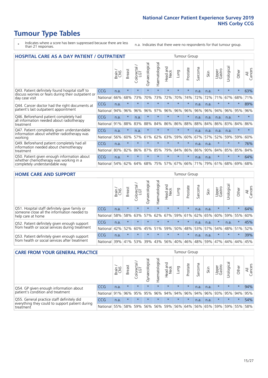- \* Indicates where a score has been suppressed because there are less than 21 responses.
- n.a. Indicates that there were no respondents for that tumour group.

| <b>HOSPITAL CARE AS A DAY PATIENT / OUTPATIENT</b><br><b>Tumour Group</b>                                             |            |       |               |                         |                |                       |                                 |         |          |                      |      |                 |            |         |                |  |  |  |  |  |  |  |
|-----------------------------------------------------------------------------------------------------------------------|------------|-------|---------------|-------------------------|----------------|-----------------------|---------------------------------|---------|----------|----------------------|------|-----------------|------------|---------|----------------|--|--|--|--|--|--|--|
|                                                                                                                       |            | Brain | <b>Breast</b> | olorectal /<br>LGT<br>Ū | Gynaecological | <b>Haematological</b> | <b>Bad and<br/>Neck</b><br>Head | Lung    | Prostate | arcoma<br>$\sqrt{ }$ | Skin | Upper<br>Gastro | Urological | Other   | All<br>Cancers |  |  |  |  |  |  |  |
| Q43. Patient definitely found hospital staff to                                                                       | CCG        | n.a.  | $\star$       | $\star$                 | $\star$        | $\star$               | $\star$                         | $\star$ | $\star$  | n.a.                 | n.a. | $\star$         | $\star$    | $\star$ | 63%            |  |  |  |  |  |  |  |
| discuss worries or fears during their outpatient or<br>day case visit                                                 | National   | 66%   | 68%           | 73%                     | 70%            | 73%                   | 72%                             | 70%     | 74%      | 72%                  | 72%  | 71%             | 67%        | 68%     | 71%            |  |  |  |  |  |  |  |
| Q44. Cancer doctor had the right documents at<br>patient's last outpatient appointment                                | <b>CCG</b> | n.a.  | $\star$       | $\star$                 | $\star$        | $\star$               | $\star$                         | $\star$ | $\star$  | n.a.                 | n.a. | $\star$         | $\star$    | $\star$ | 89%            |  |  |  |  |  |  |  |
|                                                                                                                       | National   | 94%   | 96%           | 96%                     | 96%            | 97%                   | 96%                             | 96%     | 96%      | 96%                  | 96%  | 94%             | 96%        | 95%     | 96%            |  |  |  |  |  |  |  |
| Q46. Beforehand patient completely had                                                                                | CCG        | n.a.  | $\star$       | n.a.                    | $\star$        |                       | $\star$                         | $\star$ | $\star$  | n.a.                 | n.a. | n.a.            | n.a.       | $\star$ |                |  |  |  |  |  |  |  |
| all information needed about radiotherapy<br>treatment                                                                | National   | 91%   | 88%           | 83%                     | 88%            | 84%                   | 86%                             | 86%     | 88%      | 88%                  | 84%  | 86%             | 83%        | 84%     | 86%            |  |  |  |  |  |  |  |
| Q47. Patient completely given understandable<br>information about whether radiotherapy was<br>working                 | <b>CCG</b> | n.a.  | $\star$       | n.a.                    | $\star$        |                       | $\star$                         | $\star$ | $\star$  | n.a.                 | n.a. | n.a.            | n.a.       | $\star$ | $\star$        |  |  |  |  |  |  |  |
|                                                                                                                       | National   | 56%   | 60%           | 57%                     | 61%            | 62%                   | 63%                             | 59%     | 60%      | 67%                  | 57%  | 52%             | 59%        | 59%     | 60%            |  |  |  |  |  |  |  |
| Q49. Beforehand patient completely had all                                                                            | <b>CCG</b> | n.a.  | $\star$       | $\star$                 | $\star$        | $\star$               | $\star$                         | $\star$ | $\star$  | n.a.                 | n.a. | $\star$         | $\star$    | $\star$ | 76%            |  |  |  |  |  |  |  |
| information needed about chemotherapy<br>treatment                                                                    | National   | 80%   | 82%           | 86%                     | 87%            | 85%                   | 79%                             | 84%     | 86%      | 86%                  | 90%  | 84%             | 85%        | 85%     | 84%            |  |  |  |  |  |  |  |
| Q50. Patient given enough information about<br>whether chemotherapy was working in a<br>completely understandable way | <b>CCG</b> | n.a.  | $\star$       | $\star$                 |                |                       | $\star$                         | $\star$ | $\star$  | n.a.                 | n.a. | $\star$         |            | $\star$ | 64%            |  |  |  |  |  |  |  |
|                                                                                                                       | National   | 54%   | 62%           | 64%                     | 68%            | 75%                   |                                 | 57% 67% | 66%      | 71%                  | 79%  | 61%             | 68%        | 69%     | 68%            |  |  |  |  |  |  |  |

#### **HOME CARE AND SUPPORT** Tumour Group

|                                                                                                                   |              | Brain | <b>Breast</b> | Colorectal<br>LGT | ᢛ<br>Gynaecologic | Haematological | ad and<br>Neck<br>Head | <b>Dung</b> | Prostate | Sarcoma | Skin    | Upper<br>Gastro | Irological      | Other   | All<br>Cancers |
|-------------------------------------------------------------------------------------------------------------------|--------------|-------|---------------|-------------------|-------------------|----------------|------------------------|-------------|----------|---------|---------|-----------------|-----------------|---------|----------------|
| Q51. Hospital staff definitely gave family or<br>someone close all the information needed to<br>help care at home | <b>CCG</b>   | n.a.  | $\star$       | $\star$           | $\star$           | $\star$        | $\star$                | $\star$     | $\star$  | n.a.    | n.a.    | $\star$         | $\star$         | $\star$ | 64%            |
|                                                                                                                   | National     | 58%   | 58%           | 63%               | 57%               | 62%            | 67%                    |             | 59% 61%  | 62%     | 65%     | 60%             | 59%             | 55%     | 60%            |
| Q52. Patient definitely given enough support<br>from health or social services during treatment                   | <b>CCG</b>   | n.a.  | $\star$       | $\star$           | $\star$           | $\star$        | $\star$                | $\star$     | $\star$  | n.a.    | n.a.    | $\star$         | n.a.            | $\ast$  | 45%            |
|                                                                                                                   | National     | 42%   | 52%           | 60%               |                   | 45% 51%        | 59%                    | 50%         | 48%      |         | 53% 57% | 54%             | 48% 51%         |         | 52%            |
| Q53. Patient definitely given enough support<br>from health or social services after treatment                    | CCG          | n.a.  | $\star$       | $\star$           | $\star$           | $\star$        | $\star$                | $\star$     | $\star$  | n.a.    | n.a.    | $\star$         | $\star$         | $\star$ | 39%            |
|                                                                                                                   | National 39% |       | 41% 53%       |                   | 39%               |                | 43% 56%                | 40%         | 46%      |         | 48% 59% |                 | 47%   44%   44% |         | 45%            |

| <b>CARE FROM YOUR GENERAL PRACTICE</b>                                                                     |              |       |               |                   |                | Tumour Group                            |                  |         |          |         |         |                 |            |         |                |
|------------------------------------------------------------------------------------------------------------|--------------|-------|---------------|-------------------|----------------|-----------------------------------------|------------------|---------|----------|---------|---------|-----------------|------------|---------|----------------|
|                                                                                                            |              | Brain | <b>Breast</b> | Colorectal<br>LGT | Gynaecological | Haematological                          | Head and<br>Neck | Lung    | Prostate | Sarcoma | Skin    | Upper<br>Gastro | Urological | Other   | All<br>Cancers |
| Q54. GP given enough information about<br>patient's condition and treatment                                | CCG          | n.a.  | $\star$       | $\star$           | $\star$        | $\star$                                 | $\star$          | $\star$ | $\star$  | n.a.    | n.a.    | $\star$         | $\star$    | $\star$ | 94%            |
|                                                                                                            | National 91% |       |               | 96% 95%           |                | 95% 96% 94% 94% 96% 94% 96% 93% 95% 94% |                  |         |          |         |         |                 |            |         | 95%            |
| Q55. General practice staff definitely did<br>everything they could to support patient during<br>treatment | CCG          | n.a.  | $\star$       | $\star$           | $\star$        | $\star$                                 | $\star$          | $\star$ | $\star$  | n.a.    | n.a.    | $\star$         | $\star$    | $\star$ | 54%            |
|                                                                                                            | National     | 55%   |               | 58% 59%           | 56%            |                                         | 56% 59%          |         | 56% 64%  |         | 56% 65% | 59%             |            | 59% 55% | 58%            |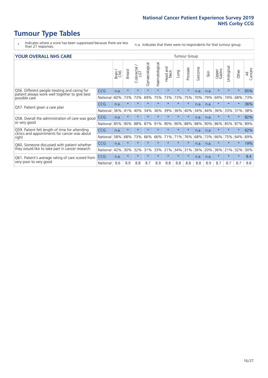- \* Indicates where a score has been suppressed because there are less than 21 responses.
- n.a. Indicates that there were no respondents for that tumour group.

#### **YOUR OVERALL NHS CARE** THE CONSTRUCTION OF THE THROUP GROUP TUMOUR GROUP

| I YUN YENAEL NI IYOANE |       |               |                            |                |                |                         |            |          |         |              |                 |               |         |                |  |  |  |  |  |  |
|------------------------|-------|---------------|----------------------------|----------------|----------------|-------------------------|------------|----------|---------|--------------|-----------------|---------------|---------|----------------|--|--|--|--|--|--|
|                        | Brain | <b>Breast</b> | ∽<br>olorectal<br>LGT<br>Ũ | Gynaecological | Haematological | aad and<br>Neck<br>Head | Lung       | Prostate | Sarcoma | Skin         | Upper<br>Gastro | ී<br>Urologic | Other   | All<br>Cancers |  |  |  |  |  |  |
| <b>CCG</b>             | n.a.  | $\star$       | $\star$                    | $\star$        | $\star$        | $\star$                 | $\star$    | $\star$  | n.a.    | n.a.         | $\star$         |               | $\star$ | 65%            |  |  |  |  |  |  |
| National               | 60%   | 73%           | 73%                        | 69%            | 75%            | 73%                     | 73%        | 75%      | 70%     | 79%          | 69%             | 74%           | 68%     | 73%            |  |  |  |  |  |  |
| <b>CCG</b>             | n.a.  | $\star$       | $\star$                    | $\star$        |                | $\star$                 | $\star$    | $\star$  | n.a.    | n.a.         | $\star$         |               | $\star$ | 36%            |  |  |  |  |  |  |
| National               | 36%   | 41%           | 40%                        | 34%            | 36%            | 39%                     | 36%        | 40%      | 34%     | 44%          | 36%             | 33%           | 31%     | 38%            |  |  |  |  |  |  |
| <b>CCG</b>             | n.a.  | $\star$       | $\star$                    |                |                | $\star$                 | $\star$    | $\star$  | n.a.    | n.a.         | $\star$         |               | $\star$ | 82%            |  |  |  |  |  |  |
| National               | 85%   | 90%           | 88%                        | 87%            | 91%            |                         | 90%        | 88%      | 88%     | 90%          | 86%             | 85%           | 87%     | 89%            |  |  |  |  |  |  |
| <b>CCG</b>             | n.a.  | $\star$       | $\star$                    | $\star$        |                | $\star$                 | $\star$    | $\star$  | n.a.    | n.a.         | $\star$         | $\star$       | $\star$ | 62%            |  |  |  |  |  |  |
| National               | 58%   | 68%           | 73%                        | 66%            | 66%            | 71%                     | 71%        | 76%      | 68%     | 73%          | 66%             | 75%           | 64%     | 69%            |  |  |  |  |  |  |
| <b>CCG</b>             | n.a.  | $\star$       | $\star$                    | $\star$        |                | $\star$                 | $\star$    | $\star$  | n.a.    | n.a.         | $\star$         |               | $\star$ | 19%            |  |  |  |  |  |  |
| National               | 42%   | 30%           | 32%                        | 31%            | 33%            |                         |            | 31%      | 36%     | 20%          | 36%             | 21%           | 32%     | 30%            |  |  |  |  |  |  |
| <b>CCG</b>             | n.a.  | $\star$       | $\star$                    | $\star$        | $\star$        | $\star$                 | $\star$    | $\star$  | n.a.    | n.a.         | $\star$         | $\star$       | $\ast$  | 8.4            |  |  |  |  |  |  |
| National               | 8.6   | 8.9           | 8.8                        | 8.7            | 8.9            | 8.8                     | 8.8        | 8.8      | 8.8     | 8.9          | 8.7             | 8.7           | 8.7     | 8.8            |  |  |  |  |  |  |
|                        |       |               |                            |                |                |                         | 90%<br>21% | 34%      |         | iamoar oroap |                 |               |         |                |  |  |  |  |  |  |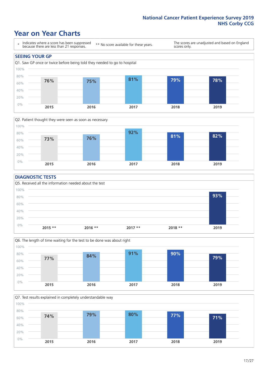# **Year on Year Charts**





#### **DIAGNOSTIC TESTS**





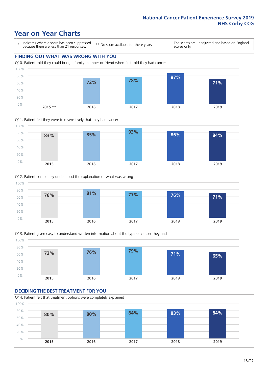# **Year on Year Charts**

\* Indicates where a score has been suppressed because there are less than 21 responses.

\*\* No score available for these years.

The scores are unadjusted and based on England scores only.









#### **DECIDING THE BEST TREATMENT FOR YOU** Q14. Patient felt that treatment options were completely explained

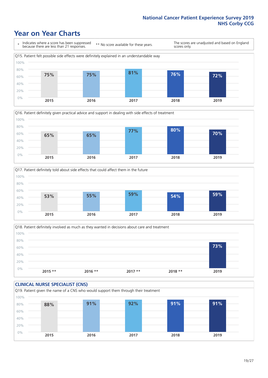# **Year on Year Charts**









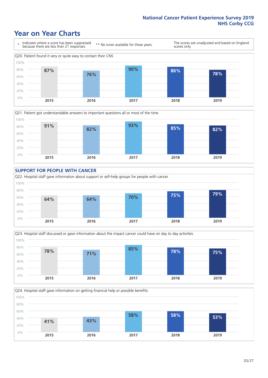# **Year on Year Charts**











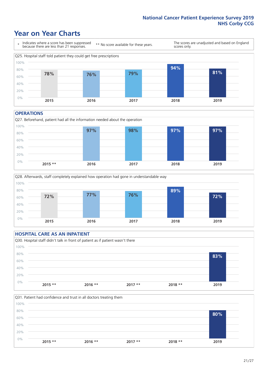# **Year on Year Charts**



#### **OPERATIONS**





### **HOSPITAL CARE AS AN INPATIENT** Q30. Hospital staff didn't talk in front of patient as if patient wasn't there 0% 20% 40% 60% 80% 100% **2015 \*\* 2016 \*\* 2017 \*\* 2018 \*\* 2019 83%**

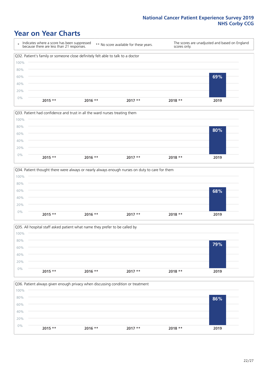# **Year on Year Charts**









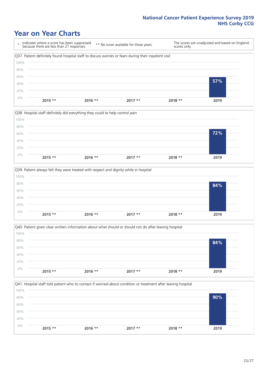# **Year on Year Charts**

\* Indicates where a score has been suppressed because there are less than 21 responses. \*\* No score available for these years. The scores are unadjusted and based on England scores only. Q37. Patient definitely found hospital staff to discuss worries or fears during their inpatient visit 0% 20% 40% 60% 80% 100% **2015 \*\* 2016 \*\* 2017 \*\* 2018 \*\* 2019 57%**







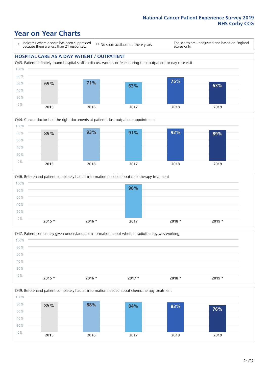# **Year on Year Charts**

\* Indicates where a score has been suppressed because there are less than 21 responses.

\*\* No score available for these years.

The scores are unadjusted and based on England scores only.

#### **HOSPITAL CARE AS A DAY PATIENT / OUTPATIENT**









Q49. Beforehand patient completely had all information needed about chemotherapy treatment

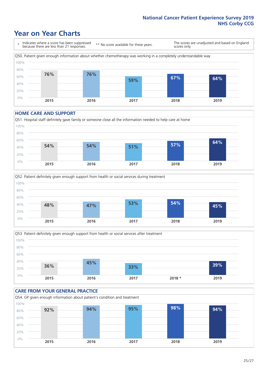# **Year on Year Charts**

\* Indicates where a score has been suppressed because there are less than 21 responses. \*\* No score available for these years. The scores are unadjusted and based on England scores only. Q50. Patient given enough information about whether chemotherapy was working in a completely understandable way 40% 60% 80% 100% **76% 76% 59% 67% 64%**

0% 20% **2015 2016 2017 2018 2019**

#### **HOME CARE AND SUPPORT**







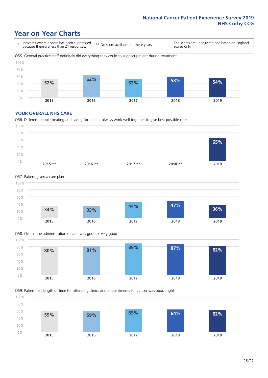# **Year on Year Charts**

\* Indicates where a score has been suppressed because there are less than 21 responses.

\*\* No score available for these years.

The scores are unadjusted and based on England scores only.



#### **YOUR OVERALL NHS CARE**







Q59. Patient felt length of time for attending clinics and appointments for cancer was about right